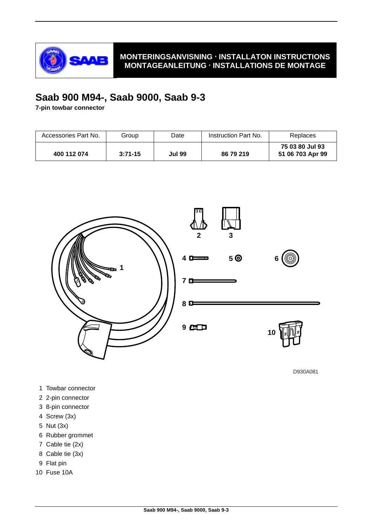

# **Saab 900 M94-, Saab 9000, Saab 9-3**

**7-pin towbar connector**

| Accessories Part No. | Group     | Date          | Instruction Part No. | Replaces                            |
|----------------------|-----------|---------------|----------------------|-------------------------------------|
| 400 112 074          | $3:71-15$ | <b>Jul 99</b> | 86 79 219            | 75 03 80 Jul 93<br>51 06 703 Apr 99 |



D930A081

- 1 Towbar connector
- 2 2-pin connector
- 3 8-pin connector
- 4 Screw (3x)
- 5 Nut (3x)
- 6 Rubber grommet
- 7 Cable tie (2x)
- 8 Cable tie (3x)
- 9 Flat pin
- 10 Fuse 10A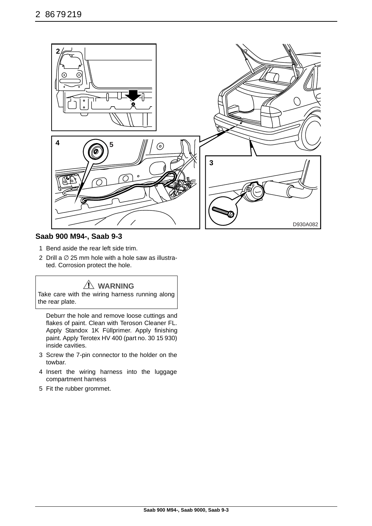

## **Saab 900 M94-, Saab 9-3**

- 1 Bend aside the rear left side trim.
- 2 Drill a  $\emptyset$  25 mm hole with a hole saw as illustrated. Corrosion protect the hole.

# **WARNING**

Take care with the wiring harness running along the rear plate.

Deburr the hole and remove loose cuttings and flakes of paint. Clean with Teroson Cleaner FL. Apply Standox 1K Füllprimer. Apply finishing paint. Apply Terotex HV 400 (part no. 30 15 930) inside cavities.

- 3 Screw the 7-pin connector to the holder on the towbar.
- 4 Insert the wiring harness into the luggage compartment harness
- 5 Fit the rubber grommet.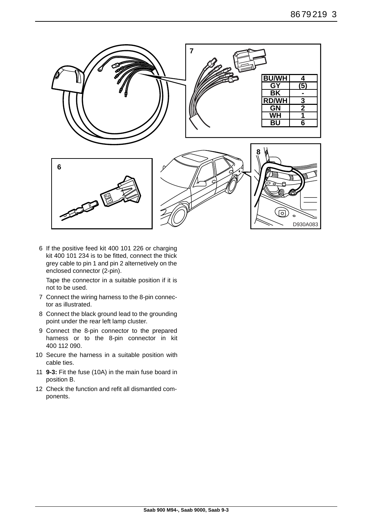

6 If the positive feed kit 400 101 226 or charging kit 400 101 234 is to be fitted, connect the thick grey cable to pin 1 and pin 2 alternetively on the enclosed connector (2-pin).

Tape the connector in a suitable position if it is not to be used.

- 7 Connect the wiring harness to the 8-pin connector as illustrated.
- 8 Connect the black ground lead to the grounding point under the rear left lamp cluster.
- 9 Connect the 8-pin connector to the prepared harness or to the 8-pin connector in kit 400 112 090.
- 10 Secure the harness in a suitable position with cable ties.
- 11 **9-3:** Fit the fuse (10A) in the main fuse board in position B.
- 12 Check the function and refit all dismantled components.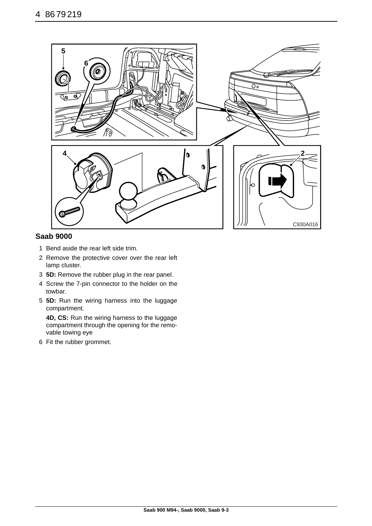

## **Saab 9000**

- 1 Bend aside the rear left side trim.
- 2 Remove the protective cover over the rear left lamp cluster.
- 3 **5D:** Remove the rubber plug in the rear panel.
- 4 Screw the 7-pin connector to the holder on the towbar.
- 5 **5D:** Run the wiring harness into the luggage compartment.

**4D, CS:** Run the wiring harness to the luggage compartment through the opening for the removable towing eye

6 Fit the rubber grommet.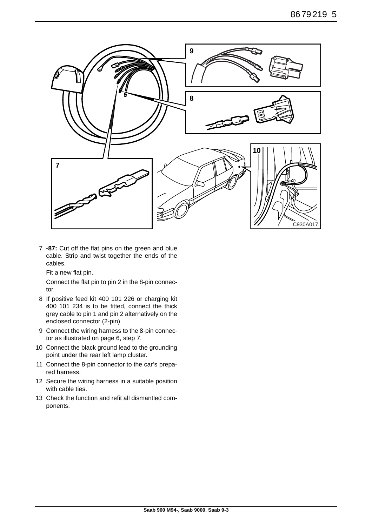

7 **-87:** Cut off the flat pins on the green and blue cable. Strip and twist together the ends of the cables.

Fit a new flat pin.

Connect the flat pin to pin 2 in the 8-pin connector.

- 8 If positive feed kit 400 101 226 or charging kit 400 101 234 is to be fitted, connect the thick grey cable to pin 1 and pin 2 alternatively on the enclosed connector (2-pin).
- 9 Connect the wiring harness to the 8-pin connector as illustrated on page 6, step 7.
- 10 Connect the black ground lead to the grounding point under the rear left lamp cluster.
- 11 Connect the 8-pin connector to the car's prepared harness.
- 12 Secure the wiring harness in a suitable position with cable ties.
- 13 Check the function and refit all dismantled components.